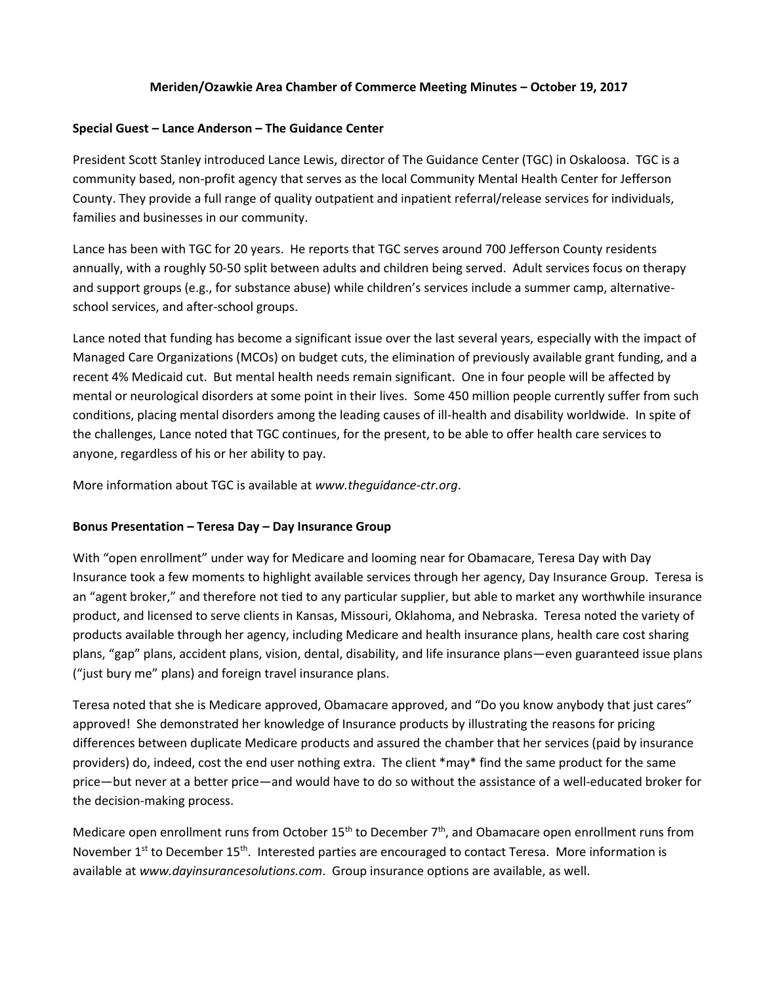# **Meriden/Ozawkie Area Chamber of Commerce Meeting Minutes – October 19, 2017**

#### **Special Guest – Lance Anderson – The Guidance Center**

President Scott Stanley introduced Lance Lewis, director of The Guidance Center (TGC) in Oskaloosa. TGC is a community based, non-profit agency that serves as the local Community Mental Health Center for Jefferson County. They provide a full range of quality outpatient and inpatient referral/release services for individuals, families and businesses in our community.

Lance has been with TGC for 20 years. He reports that TGC serves around 700 Jefferson County residents annually, with a roughly 50-50 split between adults and children being served. Adult services focus on therapy and support groups (e.g., for substance abuse) while children's services include a summer camp, alternativeschool services, and after-school groups.

Lance noted that funding has become a significant issue over the last several years, especially with the impact of Managed Care Organizations (MCOs) on budget cuts, the elimination of previously available grant funding, and a recent 4% Medicaid cut. But mental health needs remain significant. One in four people will be affected by mental or neurological disorders at some point in their lives. Some 450 million people currently suffer from such conditions, placing mental disorders among the leading causes of ill-health and disability worldwide. In spite of the challenges, Lance noted that TGC continues, for the present, to be able to offer health care services to anyone, regardless of his or her ability to pay.

More information about TGC is available at *www.theguidance-ctr.org*.

#### **Bonus Presentation – Teresa Day – Day Insurance Group**

With "open enrollment" under way for Medicare and looming near for Obamacare, Teresa Day with Day Insurance took a few moments to highlight available services through her agency, Day Insurance Group. Teresa is an "agent broker," and therefore not tied to any particular supplier, but able to market any worthwhile insurance product, and licensed to serve clients in Kansas, Missouri, Oklahoma, and Nebraska. Teresa noted the variety of products available through her agency, including Medicare and health insurance plans, health care cost sharing plans, "gap" plans, accident plans, vision, dental, disability, and life insurance plans—even guaranteed issue plans ("just bury me" plans) and foreign travel insurance plans.

Teresa noted that she is Medicare approved, Obamacare approved, and "Do you know anybody that just cares" approved! She demonstrated her knowledge of Insurance products by illustrating the reasons for pricing differences between duplicate Medicare products and assured the chamber that her services (paid by insurance providers) do, indeed, cost the end user nothing extra. The client \*may\* find the same product for the same price—but never at a better price—and would have to do so without the assistance of a well-educated broker for the decision-making process.

Medicare open enrollment runs from October 15<sup>th</sup> to December 7<sup>th</sup>, and Obamacare open enrollment runs from November  $1^{st}$  to December  $15^{th}$ . Interested parties are encouraged to contact Teresa. More information is available at *www.dayinsurancesolutions.com*. Group insurance options are available, as well.